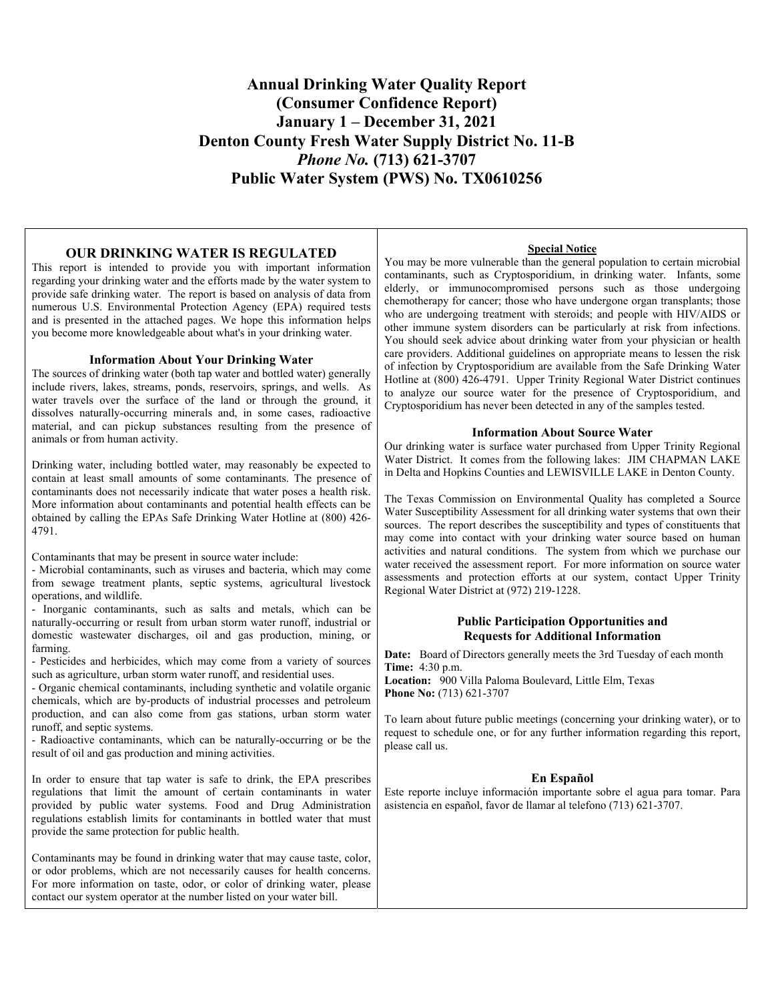## **Annual Drinking Water Quality Report (Consumer Confidence Report) January 1 – December 31, 2021 Denton County Fresh Water Supply District No. 11-B**  *Phone No.* **(713) 621-3707 Public Water System (PWS) No. TX0610256**

### **OUR DRINKING WATER IS REGULATED**

This report is intended to provide you with important information regarding your drinking water and the efforts made by the water system to provide safe drinking water. The report is based on analysis of data from numerous U.S. Environmental Protection Agency (EPA) required tests and is presented in the attached pages. We hope this information helps you become more knowledgeable about what's in your drinking water.

#### **Information About Your Drinking Water**

The sources of drinking water (both tap water and bottled water) generally include rivers, lakes, streams, ponds, reservoirs, springs, and wells. As water travels over the surface of the land or through the ground, it dissolves naturally-occurring minerals and, in some cases, radioactive material, and can pickup substances resulting from the presence of animals or from human activity.

Drinking water, including bottled water, may reasonably be expected to contain at least small amounts of some contaminants. The presence of contaminants does not necessarily indicate that water poses a health risk. More information about contaminants and potential health effects can be obtained by calling the EPAs Safe Drinking Water Hotline at (800) 426- 4791.

Contaminants that may be present in source water include:

- Microbial contaminants, such as viruses and bacteria, which may come from sewage treatment plants, septic systems, agricultural livestock operations, and wildlife.

- Inorganic contaminants, such as salts and metals, which can be naturally-occurring or result from urban storm water runoff, industrial or domestic wastewater discharges, oil and gas production, mining, or farming.

- Pesticides and herbicides, which may come from a variety of sources such as agriculture, urban storm water runoff, and residential uses.

- Organic chemical contaminants, including synthetic and volatile organic chemicals, which are by-products of industrial processes and petroleum production, and can also come from gas stations, urban storm water runoff, and septic systems.

- Radioactive contaminants, which can be naturally-occurring or be the result of oil and gas production and mining activities.

In order to ensure that tap water is safe to drink, the EPA prescribes regulations that limit the amount of certain contaminants in water provided by public water systems. Food and Drug Administration regulations establish limits for contaminants in bottled water that must provide the same protection for public health.

Contaminants may be found in drinking water that may cause taste, color, or odor problems, which are not necessarily causes for health concerns. For more information on taste, odor, or color of drinking water, please contact our system operator at the number listed on your water bill.

### **Special Notice**

You may be more vulnerable than the general population to certain microbial contaminants, such as Cryptosporidium, in drinking water. Infants, some elderly, or immunocompromised persons such as those undergoing chemotherapy for cancer; those who have undergone organ transplants; those who are undergoing treatment with steroids; and people with HIV/AIDS or other immune system disorders can be particularly at risk from infections. You should seek advice about drinking water from your physician or health care providers. Additional guidelines on appropriate means to lessen the risk of infection by Cryptosporidium are available from the Safe Drinking Water Hotline at (800) 426-4791. Upper Trinity Regional Water District continues to analyze our source water for the presence of Cryptosporidium, and Cryptosporidium has never been detected in any of the samples tested.

#### **Information About Source Water**

Our drinking water is surface water purchased from Upper Trinity Regional Water District. It comes from the following lakes: JIM CHAPMAN LAKE in Delta and Hopkins Counties and LEWISVILLE LAKE in Denton County.

The Texas Commission on Environmental Quality has completed a Source Water Susceptibility Assessment for all drinking water systems that own their sources. The report describes the susceptibility and types of constituents that may come into contact with your drinking water source based on human activities and natural conditions. The system from which we purchase our water received the assessment report. For more information on source water assessments and protection efforts at our system, contact Upper Trinity Regional Water District at (972) 219-1228.

### **Public Participation Opportunities and Requests for Additional Information**

**Date:** Board of Directors generally meets the 3rd Tuesday of each month **Time:** 4:30 p.m.

**Location:** 900 Villa Paloma Boulevard, Little Elm, Texas **Phone No:** (713) 621-3707

To learn about future public meetings (concerning your drinking water), or to request to schedule one, or for any further information regarding this report, please call us.

#### **En Español**

Este reporte incluye información importante sobre el agua para tomar. Para asistencia en español, favor de llamar al telefono (713) 621-3707.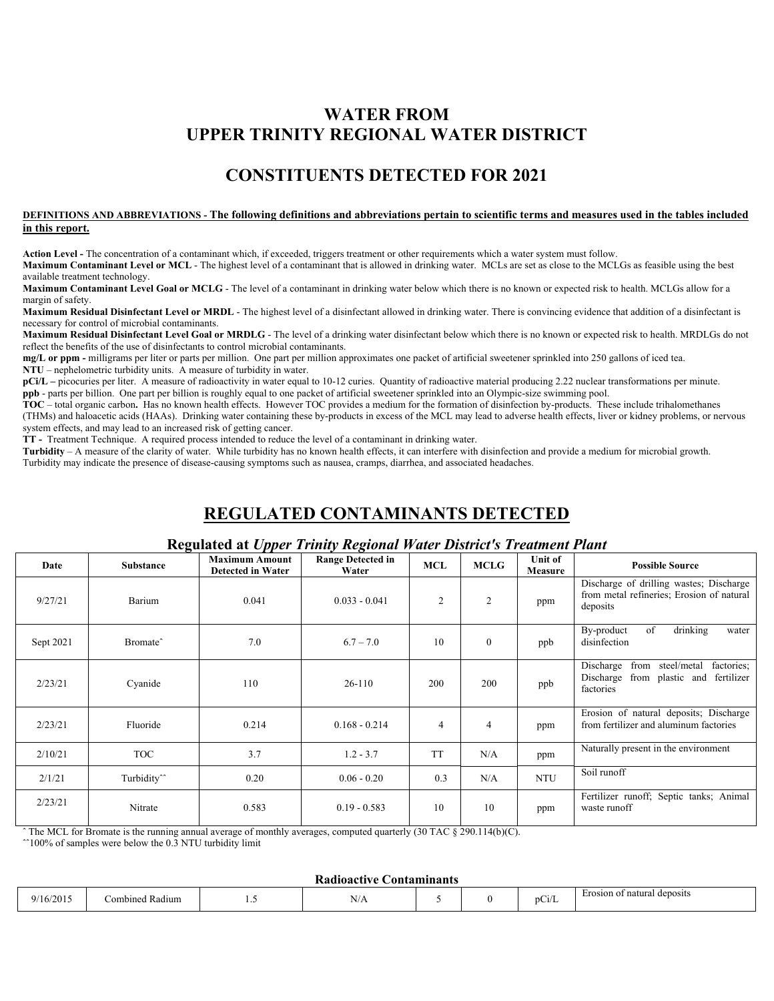## **WATER FROM UPPER TRINITY REGIONAL WATER DISTRICT**

## **CONSTITUENTS DETECTED FOR 2021**

### **DEFINITIONS AND ABBREVIATIONS - The following definitions and abbreviations pertain to scientific terms and measures used in the tables included in this report.**

**Action Level -** The concentration of a contaminant which, if exceeded, triggers treatment or other requirements which a water system must follow.

**Maximum Contaminant Level or MCL** - The highest level of a contaminant that is allowed in drinking water. MCLs are set as close to the MCLGs as feasible using the best available treatment technology.

**Maximum Contaminant Level Goal or MCLG** - The level of a contaminant in drinking water below which there is no known or expected risk to health. MCLGs allow for a margin of safety.

**Maximum Residual Disinfectant Level or MRDL** - The highest level of a disinfectant allowed in drinking water. There is convincing evidence that addition of a disinfectant is necessary for control of microbial contaminants.

**Maximum Residual Disinfectant Level Goal or MRDLG** - The level of a drinking water disinfectant below which there is no known or expected risk to health. MRDLGs do not reflect the benefits of the use of disinfectants to control microbial contaminants.

**mg/L or ppm -** milligrams per liter or parts per million. One part per million approximates one packet of artificial sweetener sprinkled into 250 gallons of iced tea. **NTU** – nephelometric turbidity units. A measure of turbidity in water.

**pCi/L** – picocuries per liter. A measure of radioactivity in water equal to 10-12 curies. Quantity of radioactive material producing 2.22 nuclear transformations per minute. **ppb** - parts per billion. One part per billion is roughly equal to one packet of artificial sweetener sprinkled into an Olympic-size swimming pool.

**TOC** – total organic carbon**.** Has no known health effects. However TOC provides a medium for the formation of disinfection by-products. These include trihalomethanes (THMs) and haloacetic acids (HAAs). Drinking water containing these by-products in excess of the MCL may lead to adverse health effects, liver or kidney problems, or nervous system effects, and may lead to an increased risk of getting cancer.

**TT -** Treatment Technique. A required process intended to reduce the level of a contaminant in drinking water.

**Turbidity** – A measure of the clarity of water. While turbidity has no known health effects, it can interfere with disinfection and provide a medium for microbial growth. Turbidity may indicate the presence of disease-causing symptoms such as nausea, cramps, diarrhea, and associated headaches.

# **REGULATED CONTAMINANTS DETECTED**

### **Regulated at** *Upper Trinity Regional Water District's Treatment Plant*

| Date      | <b>Substance</b>        | <b>Maximum Amount</b><br><b>Detected in Water</b> | <b>Range Detected in</b><br>Water | <b>MCL</b>     | <b>MCLG</b>    | Unit of<br>Measure | <b>Possible Source</b>                                                                                  |
|-----------|-------------------------|---------------------------------------------------|-----------------------------------|----------------|----------------|--------------------|---------------------------------------------------------------------------------------------------------|
| 9/27/21   | Barium                  | 0.041                                             | $0.033 - 0.041$                   | 2              | $\overline{c}$ | ppm                | Discharge of drilling wastes; Discharge<br>from metal refineries; Erosion of natural<br>deposits        |
| Sept 2021 | Bromate <sup>^</sup>    | 7.0                                               | $6.7 - 7.0$                       | 10             | $\mathbf{0}$   | ppb                | of<br>drinking<br>By-product<br>water<br>disinfection                                                   |
| 2/23/21   | Cyanide                 | 110                                               | $26-110$                          | 200            | 200            | ppb                | steel/metal<br>Discharge<br>from<br>factories;<br>Discharge<br>from plastic and fertilizer<br>factories |
| 2/23/21   | Fluoride                | 0.214                                             | $0.168 - 0.214$                   | $\overline{4}$ | 4              | ppm                | Erosion of natural deposits; Discharge<br>from fertilizer and aluminum factories                        |
| 2/10/21   | <b>TOC</b>              | 3.7                                               | $1.2 - 3.7$                       | <b>TT</b>      | N/A            | ppm                | Naturally present in the environment                                                                    |
| 2/1/21    | Turbidity <sup>^^</sup> | 0.20                                              | $0.06 - 0.20$                     | 0.3            | N/A            | <b>NTU</b>         | Soil runoff                                                                                             |
| 2/23/21   | Nitrate                 | 0.583                                             | $0.19 - 0.583$                    | 10             | 10             | ppm                | Fertilizer runoff; Septic tanks; Animal<br>waste runoff                                                 |

The MCL for Bromate is the running annual average of monthly averages, computed quarterly (30 TAC § 290.114(b)(C).

 $\hat{ }$  100% of samples were below the 0.3 NTU turbidity limit

#### **Radioactive Contaminants**

| 5/2015<br>. .<br>$^{\Omega}{}$ | $\sim$<br>∂ombined Radium | .<br>__ | - -<br>$\sim$ $\sim$<br>. V / 7 |  |  | <b><i><u>Property</u></i></b><br>$D_{\mathbb{C}}$<br>ت ، | Erosion of natural deposits |
|--------------------------------|---------------------------|---------|---------------------------------|--|--|----------------------------------------------------------|-----------------------------|
|--------------------------------|---------------------------|---------|---------------------------------|--|--|----------------------------------------------------------|-----------------------------|